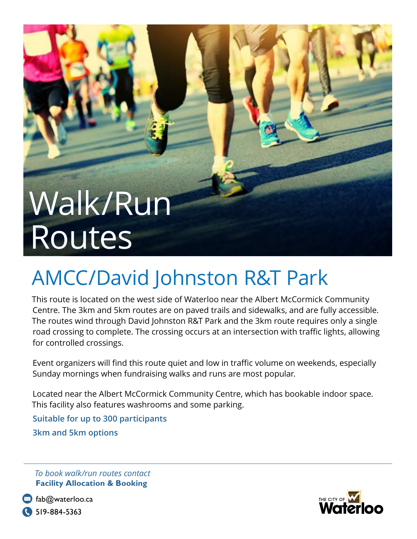## Walk/Run Routes

## AMCC/David Johnston R&T Park

This route is located on the west side of Waterloo near the Albert McCormick Community Centre. The 3km and 5km routes are on paved trails and sidewalks, and are fully accessible. The routes wind through David Johnston R&T Park and the 3km route requires only a single road crossing to complete. The crossing occurs at an intersection with traffic lights, allowing for controlled crossings.

Event organizers will find this route quiet and low in traffic volume on weekends, especially Sunday mornings when fundraising walks and runs are most popular.

Located near the Albert McCormick Community Centre, which has bookable indoor space. This facility also features washrooms and some parking.

**Suitable for up to 300 participants 3km and 5km options**

*To book walk/run routes contact*  **Facility Allocation & Booking**



 $\boxtimes$  fab@waterloo.ca **C** 519-884-5363